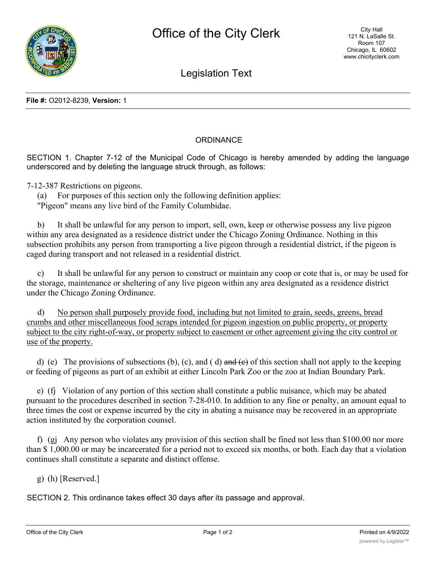

Legislation Text

## **ORDINANCE**

SECTION 1. Chapter 7-12 of the Municipal Code of Chicago is hereby amended by adding the language underscored and by deleting the language struck through, as follows:

7-12-387 Restrictions on pigeons.

(a) For purposes of this section only the following definition applies: "Pigeon" means any live bird of the Family Columbidae.

b) It shall be unlawful for any person to import, sell, own, keep or otherwise possess any live pigeon within any area designated as a residence district under the Chicago Zoning Ordinance. Nothing in this subsection prohibits any person from transporting a live pigeon through a residential district, if the pigeon is caged during transport and not released in a residential district.

c) It shall be unlawful for any person to construct or maintain any coop or cote that is, or may be used for the storage, maintenance or sheltering of any live pigeon within any area designated as a residence district under the Chicago Zoning Ordinance.

d) No person shall purposely provide food, including but not limited to grain, seeds, greens, bread crumbs and other miscellaneous food scraps intended for pigeon ingestion on public property, or property subject to the city right-of-way, or property subject to easement or other agreement giving the city control or use of the property.

d) (e) The provisions of subsections (b), (c), and (d) and  $\left(\frac{e}{e}\right)$  of this section shall not apply to the keeping or feeding of pigeons as part of an exhibit at either Lincoln Park Zoo or the zoo at Indian Boundary Park.

e) (fj Violation of any portion of this section shall constitute a public nuisance, which may be abated pursuant to the procedures described in section 7-28-010. In addition to any fine or penalty, an amount equal to three times the cost or expense incurred by the city in abating a nuisance may be recovered in an appropriate action instituted by the corporation counsel.

f) (gj Any person who violates any provision of this section shall be fined not less than \$100.00 nor more than \$ 1,000.00 or may be incarcerated for a period not to exceed six months, or both. Each day that a violation continues shall constitute a separate and distinct offense.

g) (h) [Reserved.]

SECTION 2. This ordinance takes effect 30 days after its passage and approval.